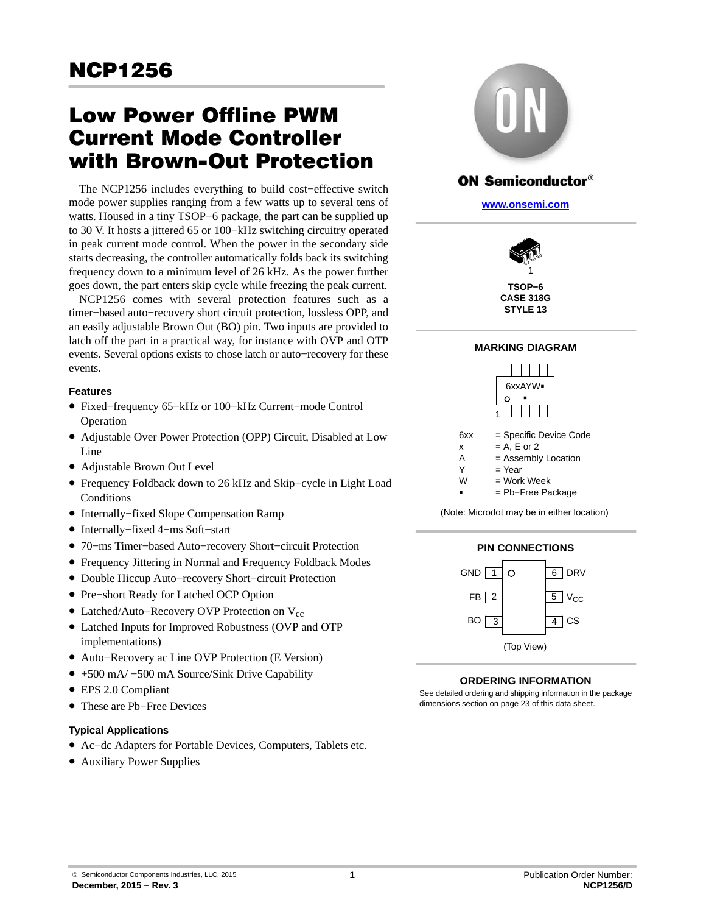# Low Power Offline PWM Current Mode Controller with Brown-Out Protection

The NCP1256 includes everything to build cost−effective switch mode power supplies ranging from a few watts up to several tens of watts. Housed in a tiny TSOP−6 package, the part can be supplied up to 30 V. It hosts a jittered 65 or 100−kHz switching circuitry operated in peak current mode control. When the power in the secondary side starts decreasing, the controller automatically folds back its switching frequency down to a minimum level of 26 kHz. As the power further goes down, the part enters skip cycle while freezing the peak current.

NCP1256 comes with several protection features such as a timer−based auto−recovery short circuit protection, lossless OPP, and an easily adjustable Brown Out (BO) pin. Two inputs are provided to latch off the part in a practical way, for instance with OVP and OTP events. Several options exists to chose latch or auto−recovery for these events.

### **Features**

- Fixed−frequency 65−kHz or 100−kHz Current−mode Control Operation
- Adjustable Over Power Protection (OPP) Circuit, Disabled at Low Line
- Adjustable Brown Out Level
- Frequency Foldback down to 26 kHz and Skip−cycle in Light Load **Conditions**
- Internally−fixed Slope Compensation Ramp
- Internally−fixed 4−ms Soft−start
- 70−ms Timer−based Auto−recovery Short−circuit Protection
- Frequency Jittering in Normal and Frequency Foldback Modes
- Double Hiccup Auto−recovery Short−circuit Protection
- Pre−short Ready for Latched OCP Option
- Latched/Auto−Recovery OVP Protection on Vcc
- Latched Inputs for Improved Robustness (OVP and OTP implementations)
- Auto−Recovery ac Line OVP Protection (E Version)
- +500 mA/ −500 mA Source/Sink Drive Capability
- EPS 2.0 Compliant
- These are Pb−Free Devices

### **Typical Applications**

- Ac−dc Adapters for Portable Devices, Computers, Tablets etc.
- Auxiliary Power Supplies



# ON Semiconductor®

**[www.onsemi.com]( http://www.onsemi.com/)**



**CASE 318G STYLE 13**

### **MARKING DIAGRAM**



(Note: Microdot may be in either location)



### **ORDERING INFORMATION**

See detailed ordering and shipping information in the package dimensions section on page [23](#page-22-0) of this data sheet.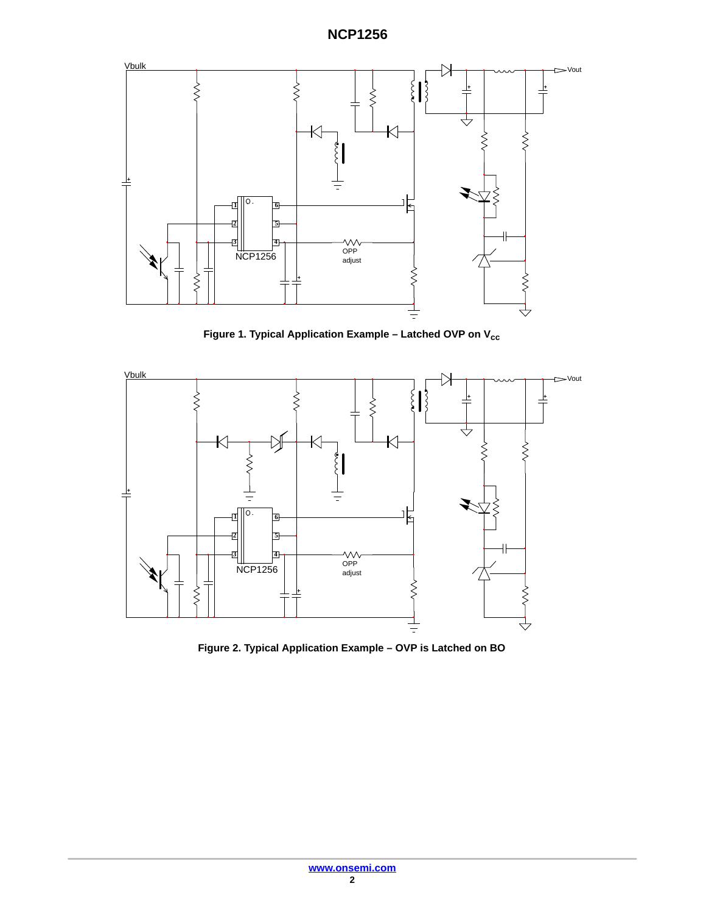

Figure 1. Typical Application Example - Latched OVP on V<sub>cc</sub>



**Figure 2. Typical Application Example – OVP is Latched on BO**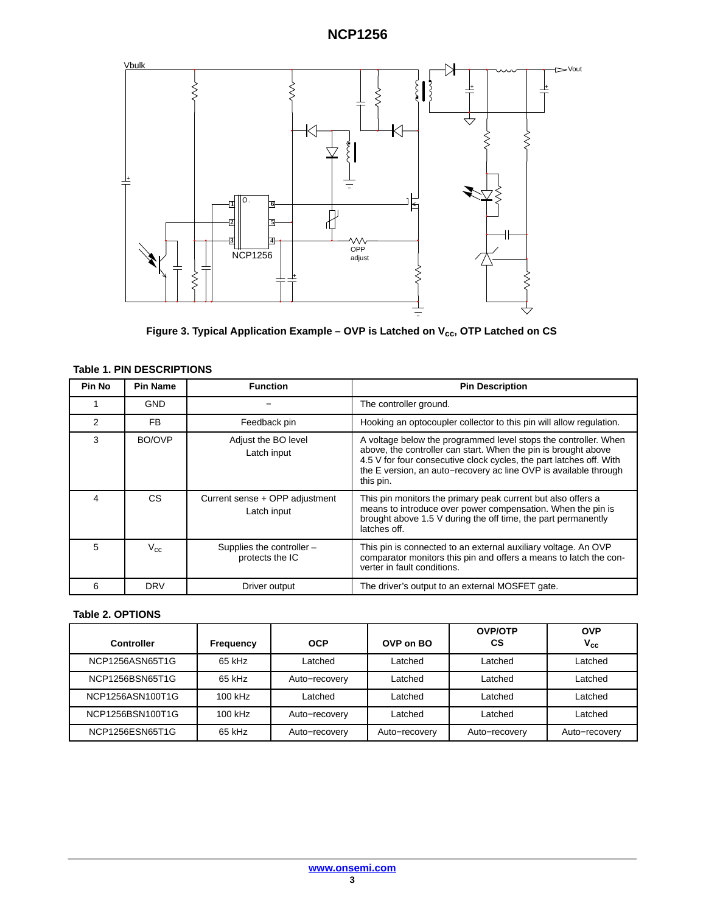

Figure 3. Typical Application Example - OVP is Latched on V<sub>cc</sub>, OTP Latched on CS

| <b>Pin No</b> | <b>Pin Name</b> | <b>Function</b>                               | <b>Pin Description</b>                                                                                                                                                                                                                                                                    |
|---------------|-----------------|-----------------------------------------------|-------------------------------------------------------------------------------------------------------------------------------------------------------------------------------------------------------------------------------------------------------------------------------------------|
|               | <b>GND</b>      |                                               | The controller ground.                                                                                                                                                                                                                                                                    |
| 2             | FB.             | Feedback pin                                  | Hooking an optocoupler collector to this pin will allow regulation.                                                                                                                                                                                                                       |
| 3             | BO/OVP          | Adjust the BO level<br>Latch input            | A voltage below the programmed level stops the controller. When<br>above, the controller can start. When the pin is brought above<br>4.5 V for four consecutive clock cycles, the part latches off. With<br>the E version, an auto-recovery ac line OVP is available through<br>this pin. |
| 4             | CS.             | Current sense + OPP adjustment<br>Latch input | This pin monitors the primary peak current but also offers a<br>means to introduce over power compensation. When the pin is<br>brought above 1.5 V during the off time, the part permanently<br>latches off.                                                                              |
| 5             | $V_{c.c.}$      | Supplies the controller -<br>protects the IC  | This pin is connected to an external auxiliary voltage. An OVP<br>comparator monitors this pin and offers a means to latch the con-<br>verter in fault conditions.                                                                                                                        |
| 6             | <b>DRV</b>      | Driver output                                 | The driver's output to an external MOSFET gate.                                                                                                                                                                                                                                           |

#### **Table 1. PIN DESCRIPTIONS**

### **Table 2. OPTIONS**

| <b>Controller</b> | <b>Frequency</b> | <b>OCP</b>    | OVP on BO     | <b>OVP/OTP</b><br>СS | <b>OVP</b><br>$V_{cc}$ |
|-------------------|------------------|---------------|---------------|----------------------|------------------------|
| NCP1256ASN65T1G   | 65 kHz           | Latched       | Latched       | Latched              | Latched                |
| NCP1256BSN65T1G   | 65 kHz           | Auto-recovery | Latched       | Latched              | Latched                |
| NCP1256ASN100T1G  | 100 kHz          | Latched       | Latched       | Latched              | Latched                |
| NCP1256BSN100T1G  | 100 kHz          | Auto-recovery | Latched       | Latched              | Latched                |
| NCP1256ESN65T1G   | 65 kHz           | Auto-recovery | Auto-recovery | Auto-recovery        | Auto-recovery          |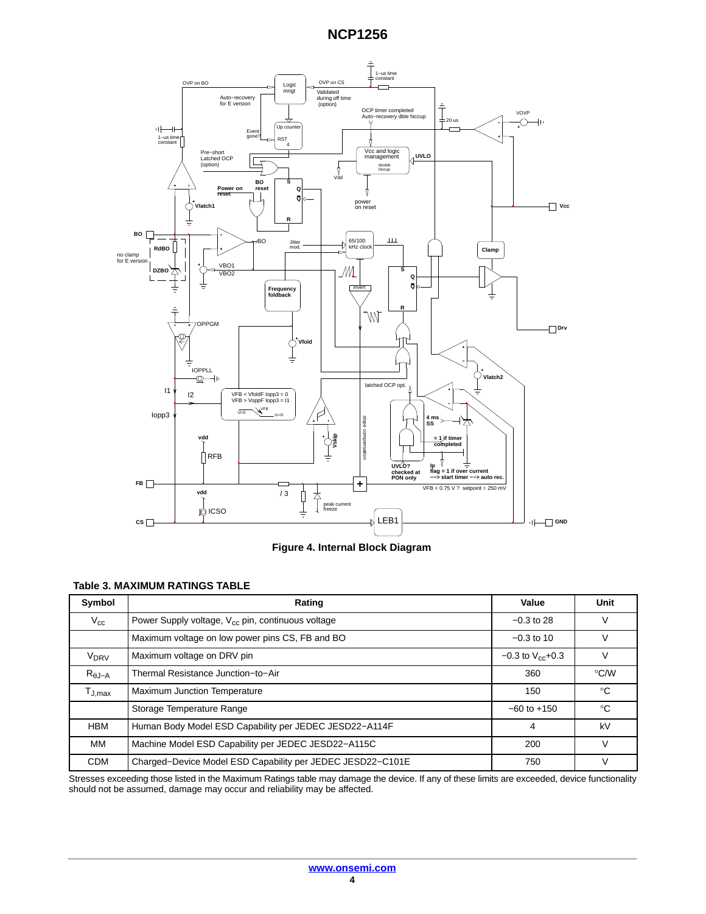

**Figure 4. Internal Block Diagram**

### **Table 3. MAXIMUM RATINGS TABLE**

| Symbol                                 | Rating                                                        | Value                   | Unit               |
|----------------------------------------|---------------------------------------------------------------|-------------------------|--------------------|
| $V_{\rm cc}$                           | Power Supply voltage, V <sub>cc</sub> pin, continuous voltage | $-0.3$ to 28            | v                  |
|                                        | Maximum voltage on low power pins CS, FB and BO               | $-0.3$ to 10            | v                  |
| V <sub>DRV</sub>                       | Maximum voltage on DRV pin                                    | $-0.3$ to $V_{cc}$ +0.3 | v                  |
| $R_{\theta J-A}$                       | Thermal Resistance Junction-to-Air                            | 360                     | $\rm ^{\circ}$ C/W |
| $\mathsf{T}_{\mathsf{J},\mathsf{max}}$ | Maximum Junction Temperature                                  | 150                     | $^{\circ}C$        |
|                                        | Storage Temperature Range                                     | $-60$ to $+150$         | $^{\circ}C$        |
| <b>HBM</b>                             | Human Body Model ESD Capability per JEDEC JESD22-A114F        | 4                       | kV                 |
| MМ                                     | Machine Model ESD Capability per JEDEC JESD22-A115C           | 200                     | $\vee$             |
| <b>CDM</b>                             | Charged-Device Model ESD Capability per JEDEC JESD22-C101E    | 750                     | v                  |

Stresses exceeding those listed in the Maximum Ratings table may damage the device. If any of these limits are exceeded, device functionality should not be assumed, damage may occur and reliability may be affected.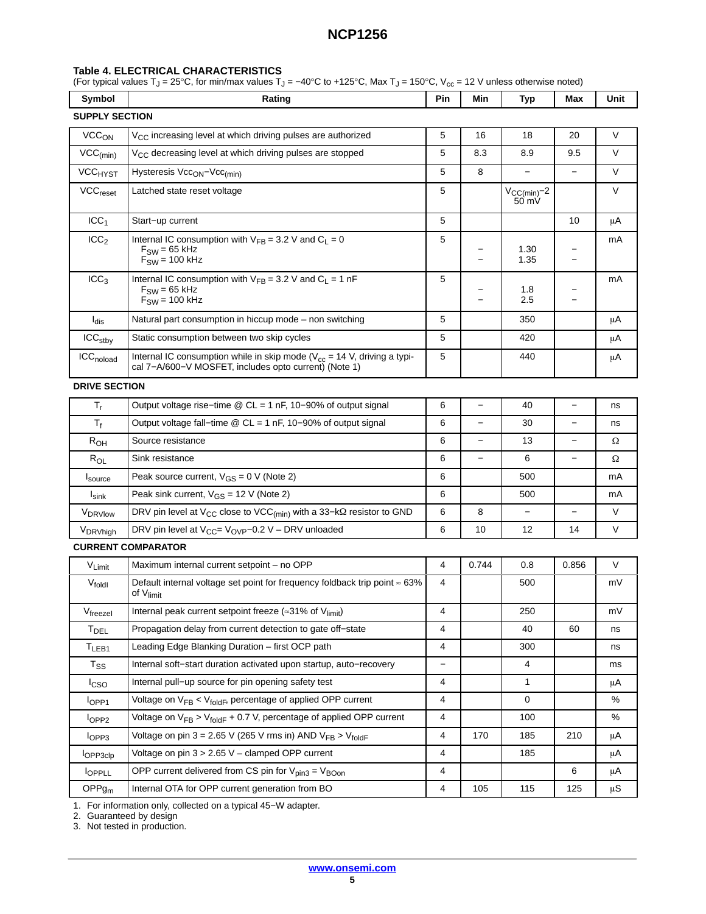#### <span id="page-4-0"></span>**Table 4. ELECTRICAL CHARACTERISTICS**

(For typical values T $_{\rm J}$  = 25°C, for min/max values T $_{\rm J}$  = –40°C to +125°C, Max T $_{\rm J}$  = 150°C, V $_{\rm cc}$  = 12 V unless otherwise noted)

| Symbol                         | Rating                                                                                                                                 | <b>Pin</b> | Min | Typ                                         | Max | Unit   |  |
|--------------------------------|----------------------------------------------------------------------------------------------------------------------------------------|------------|-----|---------------------------------------------|-----|--------|--|
| <b>SUPPLY SECTION</b>          |                                                                                                                                        |            |     |                                             |     |        |  |
| VCC <sub>ON</sub>              | $V_{CC}$ increasing level at which driving pulses are authorized                                                                       | 5          | 16  | 18                                          | 20  | $\vee$ |  |
| $\text{VCC}_{(\text{min})}$    | V <sub>CC</sub> decreasing level at which driving pulses are stopped                                                                   | 5          | 8.3 | 8.9                                         | 9.5 | $\vee$ |  |
| <b>VCC<sub>HYST</sub></b>      | Hysteresis Vcc <sub>ON</sub> -Vcc <sub>(min)</sub>                                                                                     | 5          | 8   |                                             |     | V      |  |
| VCC <sub>reset</sub>           | Latched state reset voltage                                                                                                            | 5          |     | $V_{\text{CC}(min)} - 2$<br>$50 \text{ mV}$ |     | $\vee$ |  |
| ICC <sub>1</sub>               | Start-up current                                                                                                                       | 5          |     |                                             | 10  | μA     |  |
| ICC <sub>2</sub>               | Internal IC consumption with $V_{FB} = 3.2$ V and $C_1 = 0$<br>$F_{SW}$ = 65 kHz<br>$F_{\text{SW}}$ = 100 kHz                          | 5          |     | 1.30<br>1.35                                |     | mA     |  |
| ICC <sub>3</sub>               | Internal IC consumption with $V_{FB} = 3.2$ V and $C_1 = 1$ nF<br>$F_{SW}$ = 65 kHz<br>$F_{\text{SW}}$ = 100 kHz                       | 5          |     | 1.8<br>2.5                                  |     | mA     |  |
| l <sub>dis</sub>               | Natural part consumption in hiccup mode – non switching                                                                                | 5          |     | 350                                         |     | μA     |  |
| $\mathsf{ICC}_{\mathsf{stby}}$ | Static consumption between two skip cycles                                                                                             | 5          |     | 420                                         |     | μA     |  |
| ICC <sub>noload</sub>          | Internal IC consumption while in skip mode ( $V_{cc}$ = 14 V, driving a typi-<br>cal 7-A/600-V MOSFET, includes opto current) (Note 1) | 5          |     | 440                                         |     | μA     |  |
| <b>DRIVE SECTION</b>           |                                                                                                                                        |            |     |                                             |     |        |  |

| т,                   | Output voltage rise–time $@$ CL = 1 nF, 10–90% of output signal                              | 6 |    | 40  |    | ns            |
|----------------------|----------------------------------------------------------------------------------------------|---|----|-----|----|---------------|
| $T_{\rm f}$          | Output voltage fall–time $\textcircled{a}$ CL = 1 nF, 10–90% of output signal                | 6 |    | 30  |    | ns            |
| $R_{OH}$             | Source resistance                                                                            | 6 |    | 13  |    | Ω             |
| $R_{OL}$             | Sink resistance                                                                              | 6 |    | 6   |    | Ω             |
| <sup>I</sup> source  | Peak source current, $V_{GS} = 0$ V (Note 2)                                                 | 6 |    | 500 |    | mA            |
| $I_{\text{sink}}$    | Peak sink current, $V_{GS} = 12$ V (Note 2)                                                  | 6 |    | 500 |    | mA            |
| V <sub>DRVIow</sub>  | DRV pin level at $V_{CC}$ close to VCC <sub>(min)</sub> with a 33-k $\Omega$ resistor to GND | 6 | 8  |     |    | $\mathcal{U}$ |
| V <sub>DRVhigh</sub> | DRV pin level at $V_{CC} = V_{OVP} - 0.2 V - DRV$ unloaded                                   | 6 | 10 | 12  | 14 |               |

#### **CURRENT COMPARATOR**

| V <sub>Limit</sub>   | Maximum internal current setpoint - no OPP                                                                        | 4              | 0.744 | 0.8 | 0.856 | $\vee$  |
|----------------------|-------------------------------------------------------------------------------------------------------------------|----------------|-------|-----|-------|---------|
| V <sub>foldl</sub>   | Default internal voltage set point for frequency foldback trip point $\approx 63\%$<br>4<br>of V <sub>limit</sub> |                |       |     |       | mV      |
| V <sub>freezel</sub> | Internal peak current setpoint freeze ( $\approx$ 31% of V <sub>limit</sub> )                                     | 4              |       | 250 |       | mV      |
| T <sub>DEL</sub>     | Propagation delay from current detection to gate off-state                                                        | 4              |       | 40  | 60    | ns      |
| $T_{LEB1}$           | Leading Edge Blanking Duration - first OCP path                                                                   | 4              |       | 300 |       | ns      |
| $T_{\rm SS}$         | Internal soft-start duration activated upon startup, auto-recovery                                                | —              |       | 4   |       | ms      |
| <b>I</b> cso         | Internal pull–up source for pin opening safety test                                                               | 4              |       | 1   |       | μA      |
| IOPP1                | Voltage on $V_{FB}$ < $V_{fold}$ , percentage of applied OPP current                                              | 4              |       | 0   |       | %       |
| $I_{OPP2}$           | Voltage on $V_{FR}$ > $V_{foldF}$ + 0.7 V, percentage of applied OPP current                                      | $\overline{4}$ |       | 100 |       | %       |
| IOPP3                | Voltage on pin 3 = 2.65 V (265 V rms in) AND $V_{FB} > V_{foldF}$                                                 | 4              | 170   | 185 | 210   | μA      |
| <b>OPP3clp</b>       | Voltage on pin 3 > 2.65 V - clamped OPP current                                                                   | 4              |       | 185 |       | μA      |
| <b>OPPLL</b>         | OPP current delivered from CS pin for $V_{pin3} = V_{\text{BOn}}$                                                 | 4              |       |     | 6     | μA      |
| OPPg <sub>m</sub>    | Internal OTA for OPP current generation from BO                                                                   | 4              | 105   | 115 | 125   | $\mu$ S |

[1](#page-5-0). For information only, collected on a typical 45−W adapter.

[2](#page-5-0). Guaranteed by design

[3](#page-5-0). Not tested in production.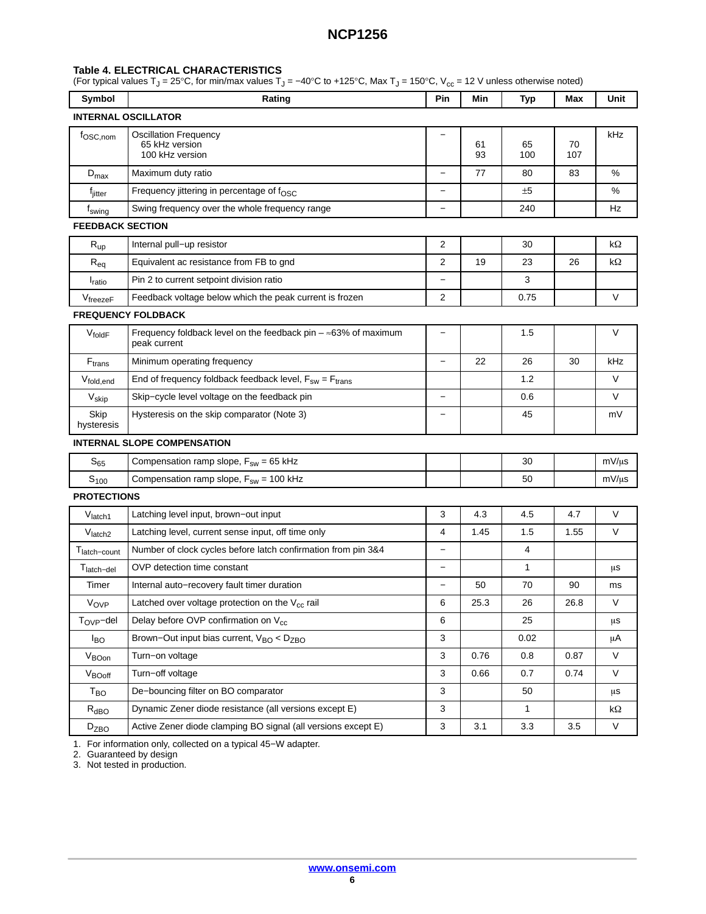#### <span id="page-5-0"></span>**Table [4.](#page-4-0) ELECTRICAL CHARACTERISTICS**

(For typical values T $_{\rm J}$  = 25°C, for min/max values T $_{\rm J}$  = –40°C to +125°C, Max T $_{\rm J}$  = 150°C, V $_{\rm cc}$  = 12 V unless otherwise noted)

| Symbol                        | Rating                                                                                 | Pin                      | Min      | <b>Typ</b> | Max       | Unit               |
|-------------------------------|----------------------------------------------------------------------------------------|--------------------------|----------|------------|-----------|--------------------|
|                               | INTERNAL OSCILLATOR                                                                    |                          |          |            |           |                    |
| f <sub>OSC,nom</sub>          | <b>Oscillation Frequency</b><br>65 kHz version<br>100 kHz version                      |                          | 61<br>93 | 65<br>100  | 70<br>107 | kHz                |
| $D_{\text{max}}$              | Maximum duty ratio                                                                     | —                        | 77       | 80         | 83        | %                  |
| f <sub>jitter</sub>           | Frequency jittering in percentage of $f_{\rm OSC}$                                     | $\qquad \qquad -$        |          | ±5         |           | %                  |
| f <sub>swing</sub>            | Swing frequency over the whole frequency range                                         | $\overline{\phantom{0}}$ |          | 240        |           | Hz                 |
| <b>FEEDBACK SECTION</b>       |                                                                                        |                          |          |            |           |                    |
| $R_{up}$                      | Internal pull-up resistor                                                              | 2                        |          | 30         |           | kΩ                 |
| $R_{eq}$                      | Equivalent ac resistance from FB to gnd                                                | 2                        | 19       | 23         | 26        | $k\Omega$          |
| <b>I</b> <sub>ratio</sub>     | Pin 2 to current setpoint division ratio                                               | $\overline{\phantom{0}}$ |          | 3          |           |                    |
| $V_{\text{freezeF}}$          | Feedback voltage below which the peak current is frozen                                | 2                        |          | 0.75       |           | V                  |
|                               | <b>FREQUENCY FOLDBACK</b>                                                              |                          |          |            |           |                    |
| VfoldF                        | Frequency foldback level on the feedback pin $-\approx$ 63% of maximum<br>peak current | $\overline{\phantom{0}}$ |          | 1.5        |           | V                  |
| $\mathsf{F}_{\mathsf{trans}}$ | Minimum operating frequency                                                            |                          | 22       | 26         | 30        | kHz                |
| Vfold, end                    | End of frequency foldback feedback level, $F_{sw} = F_{trans}$                         |                          |          | 1.2        |           | V                  |
| V <sub>skip</sub>             | Skip-cycle level voltage on the feedback pin                                           | <sup>-</sup>             |          | 0.6        |           | V                  |
| Skip<br>hysteresis            | Hysteresis on the skip comparator (Note 3)                                             |                          |          | 45         |           | mV                 |
|                               | <b>INTERNAL SLOPE COMPENSATION</b>                                                     |                          |          |            |           |                    |
| $S_{65}$                      | Compensation ramp slope, $F_{sw} = 65$ kHz                                             |                          |          | 30         |           | $mV/\mu s$         |
| $S_{100}$                     | Compensation ramp slope, $F_{sw}$ = 100 kHz                                            |                          |          | 50         |           | $mV/\mu s$         |
| <b>PROTECTIONS</b>            |                                                                                        |                          |          |            |           |                    |
| Vlatch1                       | Latching level input, brown-out input                                                  | 3                        | 4.3      | 4.5        | 4.7       | V                  |
| V <sub>latch2</sub>           | Latching level, current sense input, off time only                                     | 4                        | 1.45     | 1.5        | 1.55      | V                  |
| T <sub>latch-count</sub>      | Number of clock cycles before latch confirmation from pin 3&4                          | $\qquad \qquad -$        |          | 4          |           |                    |
| T <sub>latch-del</sub>        | OVP detection time constant                                                            |                          |          | 1          |           | μS                 |
| Timer                         | Internal auto-recovery fault timer duration                                            | $\overline{\phantom{0}}$ | 50       | 70         | 90        | ms                 |
| V <sub>OVP</sub>              | Latched over voltage protection on the $V_{cc}$ rail                                   | 6                        | 25.3     | 26         | 26.8      | V                  |
| $T_{OVP}$ -del                | Delay before OVP confirmation on V <sub>cc</sub>                                       | 6                        |          | 25         |           | μs                 |
| $I_{BO}$                      | Brown-Out input bias current, V <sub>BO</sub> < D <sub>ZBO</sub>                       | 3                        |          | 0.02       |           | μA                 |
| $V_{\text{BOn}}$              | Turn-on voltage                                                                        | 3                        | 0.76     | 0.8        | 0.87      | V                  |
| V <sub>BOoff</sub>            | Turn-off voltage                                                                       | 3                        | 0.66     | 0.7        | 0.74      | V                  |
| T <sub>BO</sub>               | De-bouncing filter on BO comparator                                                    | 3                        |          | 50         |           | μS                 |
| $R_{\text{dBO}}$              | Dynamic Zener diode resistance (all versions except E)                                 | $\mathbf{3}$             |          | 1          |           | $\mathsf{k}\Omega$ |
| D <sub>ZBO</sub>              | Active Zener diode clamping BO signal (all versions except E)                          | $\sqrt{3}$               | 3.1      | 3.3        | 3.5       | V                  |

1. For information only, collected on a typical 45−W adapter.

2. Guaranteed by design

3. Not tested in production.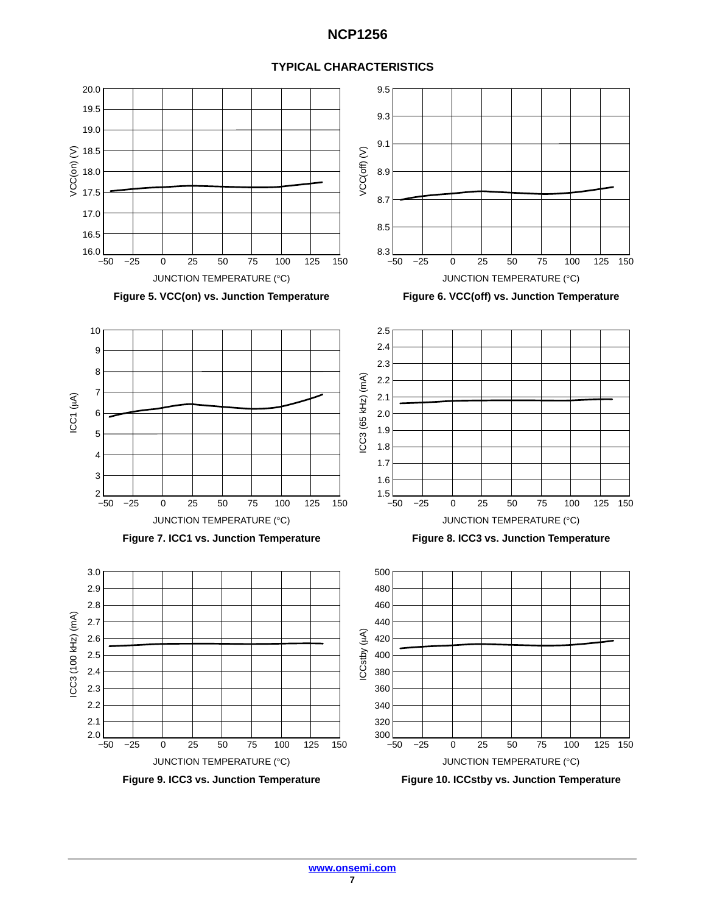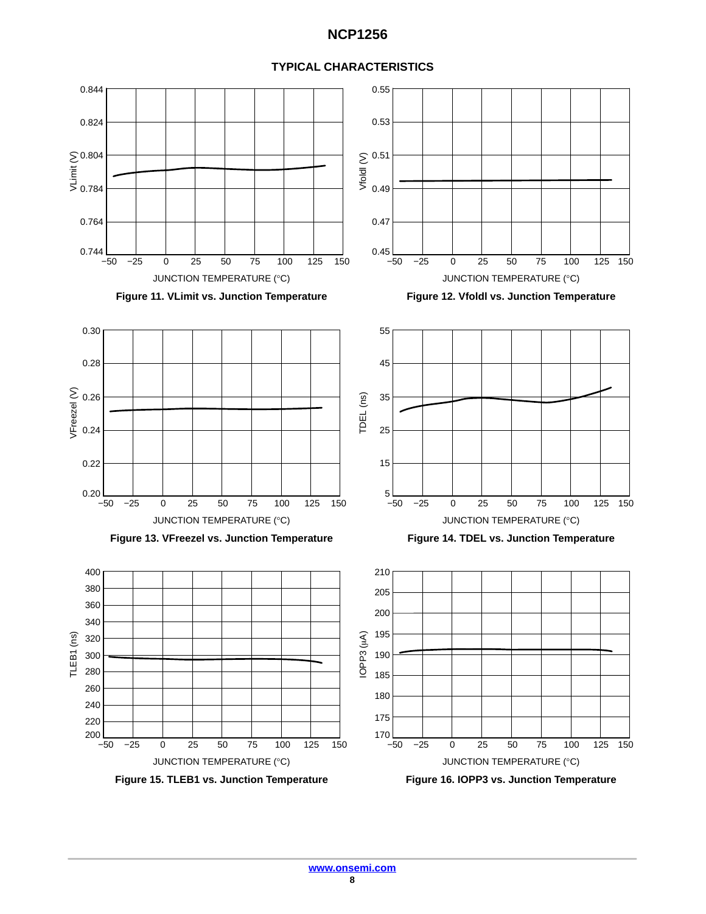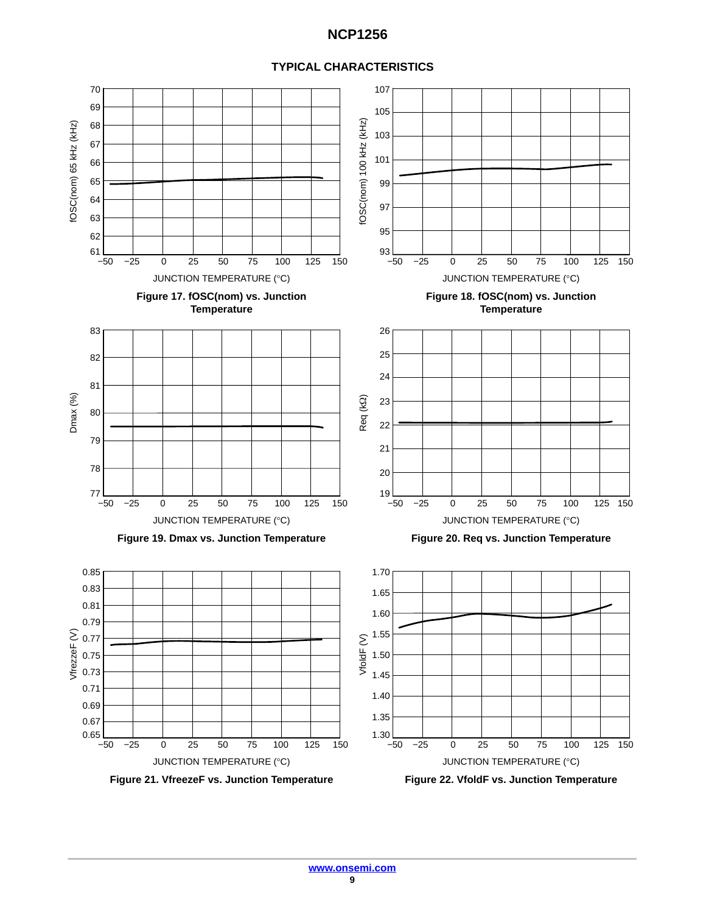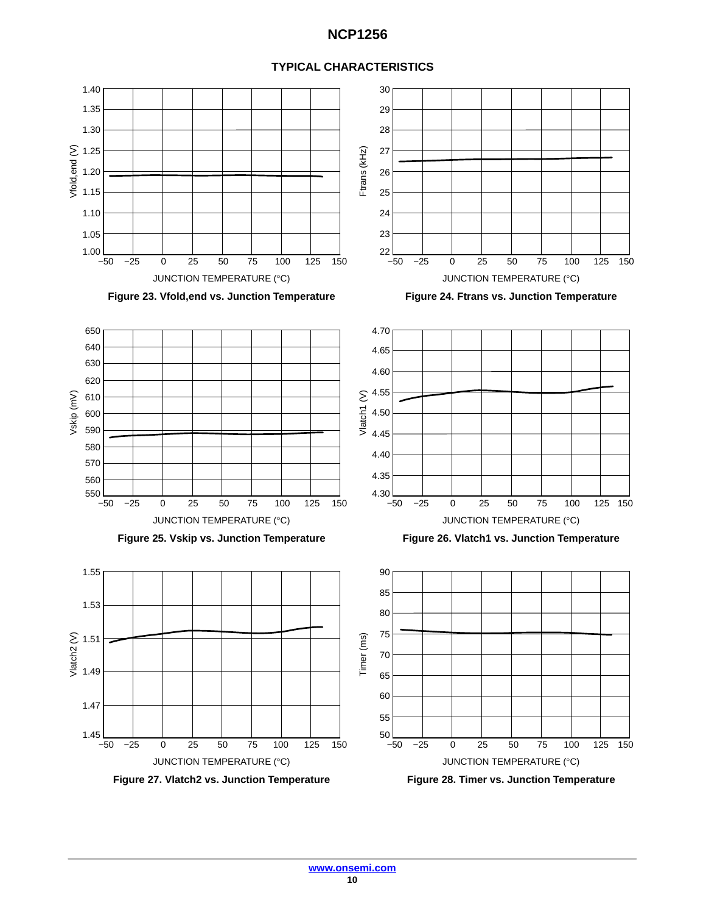

#### **TYPICAL CHARACTERISTICS**

**Figure 27. Vlatch2 vs. Junction Temperature Figure 28. Timer vs. Junction Temperature**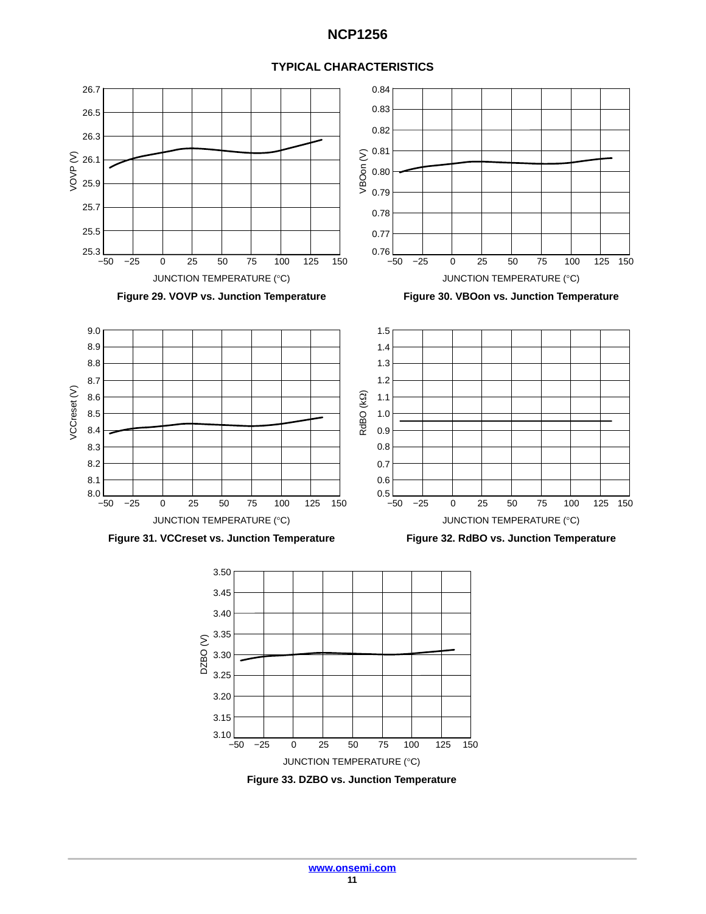



**Figure 33. DZBO vs. Junction Temperature**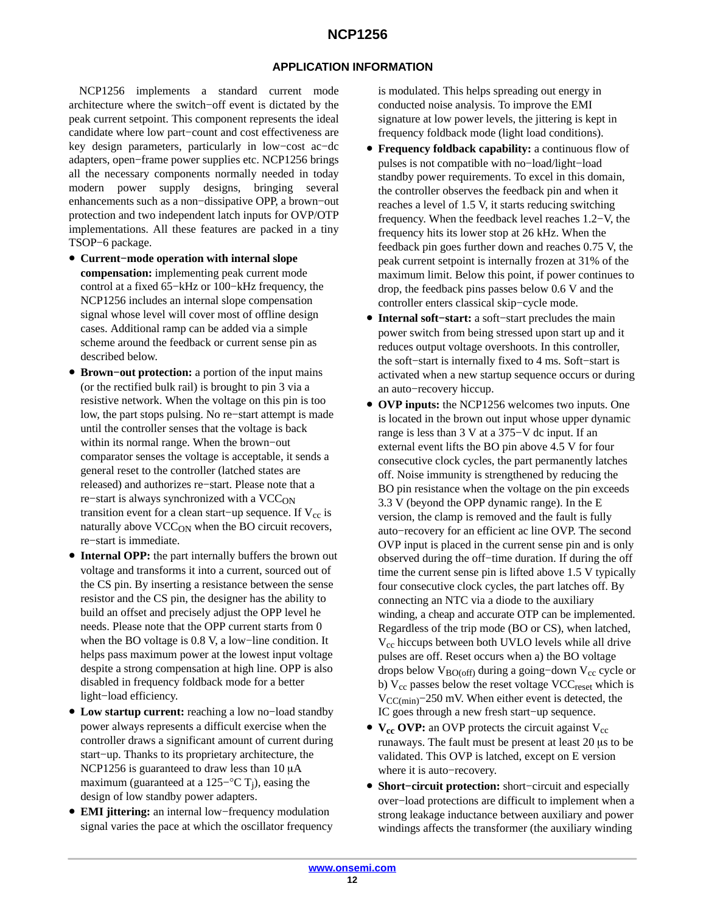### **APPLICATION INFORMATION**

NCP1256 implements a standard current mode architecture where the switch−off event is dictated by the peak current setpoint. This component represents the ideal candidate where low part−count and cost effectiveness are key design parameters, particularly in low−cost ac−dc adapters, open−frame power supplies etc. NCP1256 brings all the necessary components normally needed in today modern power supply designs, bringing several enhancements such as a non−dissipative OPP, a brown−out protection and two independent latch inputs for OVP/OTP implementations. All these features are packed in a tiny TSOP−6 package.

- **Current−mode operation with internal slope compensation:** implementing peak current mode control at a fixed 65−kHz or 100−kHz frequency, the NCP1256 includes an internal slope compensation signal whose level will cover most of offline design cases. Additional ramp can be added via a simple scheme around the feedback or current sense pin as described below.
- **Brown−out protection:** a portion of the input mains (or the rectified bulk rail) is brought to pin 3 via a resistive network. When the voltage on this pin is too low, the part stops pulsing. No re−start attempt is made until the controller senses that the voltage is back within its normal range. When the brown−out comparator senses the voltage is acceptable, it sends a general reset to the controller (latched states are released) and authorizes re−start. Please note that a re–start is always synchronized with a VCC<sub>ON</sub> transition event for a clean start–up sequence. If  $V_{cc}$  is naturally above  $VCC<sub>ON</sub>$  when the BO circuit recovers, re−start is immediate.
- **Internal OPP:** the part internally buffers the brown out voltage and transforms it into a current, sourced out of the CS pin. By inserting a resistance between the sense resistor and the CS pin, the designer has the ability to build an offset and precisely adjust the OPP level he needs. Please note that the OPP current starts from 0 when the BO voltage is 0.8 V, a low−line condition. It helps pass maximum power at the lowest input voltage despite a strong compensation at high line. OPP is also disabled in frequency foldback mode for a better light−load efficiency.
- **Low startup current:** reaching a low no−load standby power always represents a difficult exercise when the controller draws a significant amount of current during start−up. Thanks to its proprietary architecture, the  $NCP1256$  is guaranteed to draw less than 10  $\mu$ A maximum (guaranteed at a 125– $\rm ^{\circ}C$  T<sub>i</sub>), easing the design of low standby power adapters.
- **EMI jittering:** an internal low−frequency modulation signal varies the pace at which the oscillator frequency

is modulated. This helps spreading out energy in conducted noise analysis. To improve the EMI signature at low power levels, the jittering is kept in frequency foldback mode (light load conditions).

- **Frequency foldback capability:** a continuous flow of pulses is not compatible with no−load/light−load standby power requirements. To excel in this domain, the controller observes the feedback pin and when it reaches a level of 1.5 V, it starts reducing switching frequency. When the feedback level reaches 1.2−V, the frequency hits its lower stop at 26 kHz. When the feedback pin goes further down and reaches 0.75 V, the peak current setpoint is internally frozen at 31% of the maximum limit. Below this point, if power continues to drop, the feedback pins passes below 0.6 V and the controller enters classical skip−cycle mode.
- **Internal soft−start:** a soft−start precludes the main power switch from being stressed upon start up and it reduces output voltage overshoots. In this controller, the soft−start is internally fixed to 4 ms. Soft−start is activated when a new startup sequence occurs or during an auto−recovery hiccup.
- **OVP inputs:** the NCP1256 welcomes two inputs. One is located in the brown out input whose upper dynamic range is less than 3 V at a 375−V dc input. If an external event lifts the BO pin above 4.5 V for four consecutive clock cycles, the part permanently latches off. Noise immunity is strengthened by reducing the BO pin resistance when the voltage on the pin exceeds 3.3 V (beyond the OPP dynamic range). In the E version, the clamp is removed and the fault is fully auto−recovery for an efficient ac line OVP. The second OVP input is placed in the current sense pin and is only observed during the off−time duration. If during the off time the current sense pin is lifted above 1.5 V typically four consecutive clock cycles, the part latches off. By connecting an NTC via a diode to the auxiliary winding, a cheap and accurate OTP can be implemented. Regardless of the trip mode (BO or CS), when latched,  $V_{cc}$  hiccups between both UVLO levels while all drive pulses are off. Reset occurs when a) the BO voltage drops below  $V_{BO(off)}$  during a going-down V<sub>cc</sub> cycle or b)  $V_{cc}$  passes below the reset voltage  $VCC_{reset}$  which is  $V_{\text{CC}(min)}$ −250 mV. When either event is detected, the IC goes through a new fresh start−up sequence.
- $V_{cc}$  OVP: an OVP protects the circuit against  $V_{cc}$ runaways. The fault must be present at least 20 µs to be validated. This OVP is latched, except on E version where it is auto−recovery.
- **Short−circuit protection:** short−circuit and especially over−load protections are difficult to implement when a strong leakage inductance between auxiliary and power windings affects the transformer (the auxiliary winding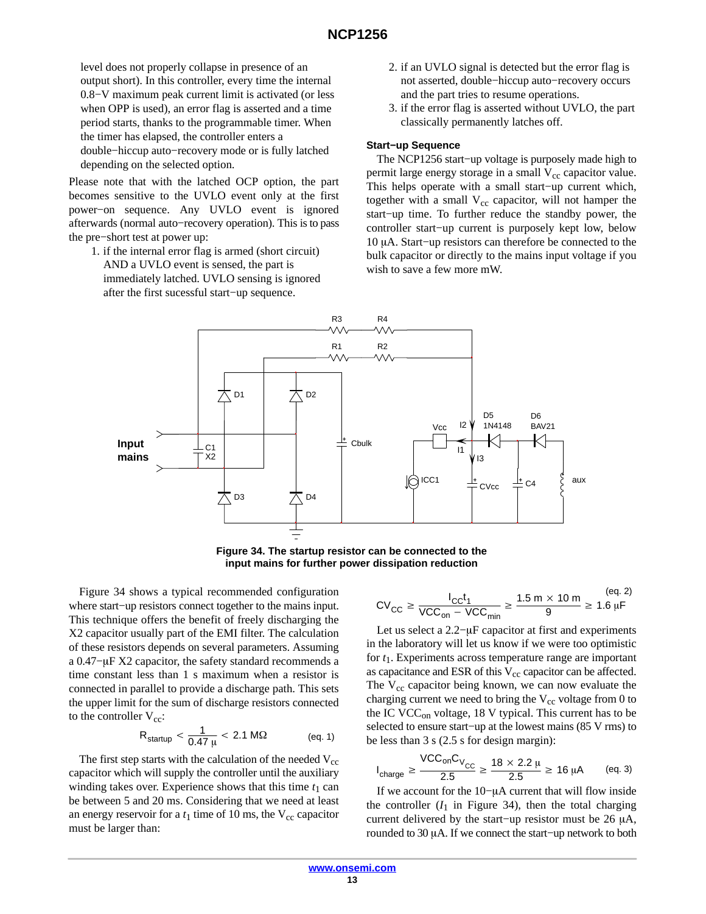<span id="page-12-0"></span>level does not properly collapse in presence of an output short). In this controller, every time the internal 0.8−V maximum peak current limit is activated (or less when OPP is used), an error flag is asserted and a time period starts, thanks to the programmable timer. When the timer has elapsed, the controller enters a double−hiccup auto−recovery mode or is fully latched depending on the selected option.

Please note that with the latched OCP option, the part becomes sensitive to the UVLO event only at the first power−on sequence. Any UVLO event is ignored afterwards (normal auto−recovery operation). This is to pass the pre−short test at power up:

1. if the internal error flag is armed (short circuit) AND a UVLO event is sensed, the part is immediately latched. UVLO sensing is ignored after the first sucessful start−up sequence.

- 2. if an UVLO signal is detected but the error flag is not asserted, double−hiccup auto−recovery occurs and the part tries to resume operations.
- 3. if the error flag is asserted without UVLO, the part classically permanently latches off.

#### **Start−up Sequence**

The NCP1256 start−up voltage is purposely made high to permit large energy storage in a small  $V_{cc}$  capacitor value. This helps operate with a small start−up current which, together with a small  $V_{cc}$  capacitor, will not hamper the start−up time. To further reduce the standby power, the controller start−up current is purposely kept low, below 10 μA. Start–up resistors can therefore be connected to the bulk capacitor or directly to the mains input voltage if you wish to save a few more mW.



**Figure 34. The startup resistor can be connected to the input mains for further power dissipation reduction**

Figure 34 shows a typical recommended configuration where start−up resistors connect together to the mains input. This technique offers the benefit of freely discharging the X2 capacitor usually part of the EMI filter. The calculation of these resistors depends on several parameters. Assuming a 0.47–µF X2 capacitor, the safety standard recommends a time constant less than 1 s maximum when a resistor is connected in parallel to provide a discharge path. This sets the upper limit for the sum of discharge resistors connected to the controller  $V_{cc}$ :

$$
R_{\text{startup}} < \frac{1}{0.47 \, \mu} < 2.1 \, \text{M}\Omega \tag{eq. 1}
$$

The first step starts with the calculation of the needed  $V_{cc}$ capacitor which will supply the controller until the auxiliary winding takes over. Experience shows that this time  $t_1$  can be between 5 and 20 ms. Considering that we need at least an energy reservoir for a  $t_1$  time of 10 ms, the  $V_{cc}$  capacitor must be larger than:

$$
CV_{CC} \ge \frac{I_{CC}t_1}{VCC_{on} - VCC_{min}} \ge \frac{1.5 \text{ m} \times 10 \text{ m}}{9} \ge 1.6 \text{ }\mu\text{F}
$$

Let us select a 2.2–μF capacitor at first and experiments in the laboratory will let us know if we were too optimistic for *t*1. Experiments across temperature range are important as capacitance and ESR of this  $V_{cc}$  capacitor can be affected. The  $V_{cc}$  capacitor being known, we can now evaluate the charging current we need to bring the  $V_{cc}$  voltage from 0 to the IC VCC<sub>on</sub> voltage, 18 V typical. This current has to be selected to ensure start−up at the lowest mains (85 V rms) to be less than 3 s (2.5 s for design margin):

$$
I_{charge} \geq \frac{\text{VCC}_{on}C_{V_{CC}}}{2.5} \geq \frac{18 \times 2.2 \text{ }\mu}{2.5} \geq 16 \text{ }\mu\text{A} \qquad \text{(eq. 3)}
$$

If we account for the 10-µA current that will flow inside the controller  $(I_1$  in Figure 34), then the total charging current delivered by the start–up resistor must be 26  $\mu$ A, rounded to 30 µA. If we connect the start–up network to both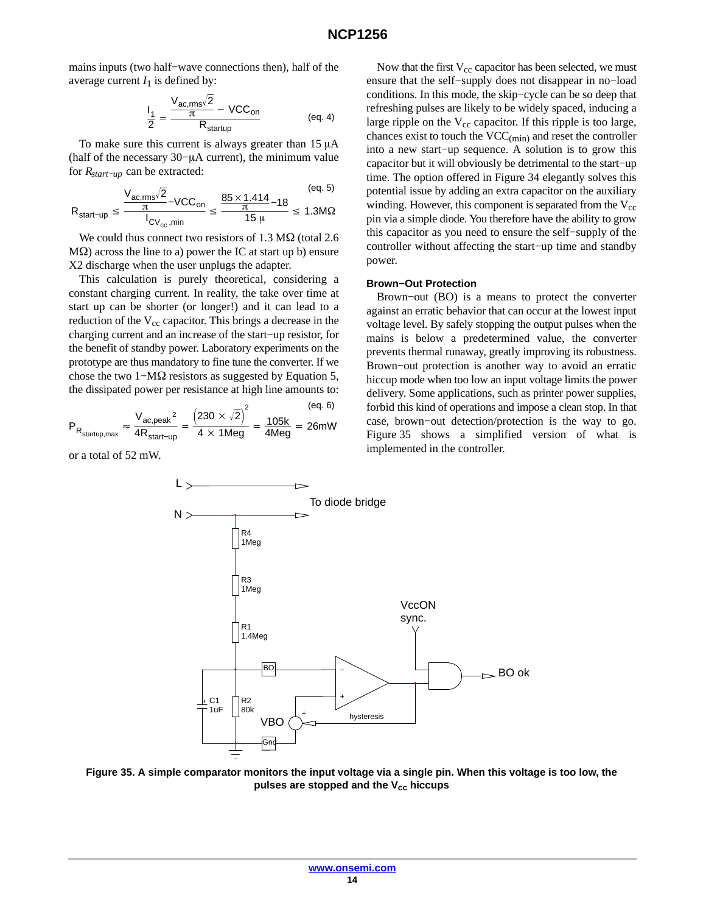<span id="page-13-0"></span>mains inputs (two half−wave connections then), half of the average current  $I_1$  is defined by:

$$
\frac{I_1}{2} = \frac{\frac{V_{ac,rms}\sqrt{2}}{\pi} - \text{VCC}_{on}}{R_{statup}}
$$
 (eq. 4)

To make sure this current is always greater than  $15 \mu A$ (half of the necessary 30–μA current), the minimum value for *Rstart−up* can be extracted:

$$
R_{start-up} \le \frac{\frac{V_{ac,rms}\sqrt{2}}{\pi} - VCC_{on}}{I_{CV_{cc},min}} \le \frac{\frac{85 \times 1.414}{\pi} - 18}{15 \,\mu} \le 1.3 M\Omega
$$

We could thus connect two resistors of  $1.3 \text{ M}\Omega$  (total 2.6)  $M\Omega$ ) across the line to a) power the IC at start up b) ensure X2 discharge when the user unplugs the adapter.

This calculation is purely theoretical, considering a constant charging current. In reality, the take over time at start up can be shorter (or longer!) and it can lead to a reduction of the V<sub>cc</sub> capacitor. This brings a decrease in the charging current and an increase of the start−up resistor, for the benefit of standby power. Laboratory experiments on the prototype are thus mandatory to fine tune the converter. If we chose the two 1–M $\Omega$  resistors as suggested by Equation 5, the dissipated power per resistance at high line amounts to:

$$
P_{R_{\text{startup,max}}} \approx \frac{V_{\text{ac,peak}}^2}{4R_{\text{start-up}}} = \frac{\left(230 \times \sqrt{2}\right)^2}{4 \times 1 \text{Meg}} = \frac{105 \text{kg}}{4 \text{Meg}} = 26 \text{mW}
$$

or a total of 52 mW.

Now that the first  $V_{cc}$  capacitor has been selected, we must ensure that the self−supply does not disappear in no−load conditions. In this mode, the skip−cycle can be so deep that refreshing pulses are likely to be widely spaced, inducing a large ripple on the  $V_{cc}$  capacitor. If this ripple is too large, chances exist to touch the  $VCC_{(min)}$  and reset the controller into a new start−up sequence. A solution is to grow this capacitor but it will obviously be detrimental to the start−up time. The option offered in Figure [34](#page-12-0) elegantly solves this potential issue by adding an extra capacitor on the auxiliary winding. However, this component is separated from the  $V_{cc}$ pin via a simple diode. You therefore have the ability to grow this capacitor as you need to ensure the self−supply of the controller without affecting the start−up time and standby power.

#### **Brown−Out Protection**

Brown−out (BO) is a means to protect the converter against an erratic behavior that can occur at the lowest input voltage level. By safely stopping the output pulses when the mains is below a predetermined value, the converter prevents thermal runaway, greatly improving its robustness. Brown−out protection is another way to avoid an erratic hiccup mode when too low an input voltage limits the power delivery. Some applications, such as printer power supplies, forbid this kind of operations and impose a clean stop. In that case, brown−out detection/protection is the way to go. Figure 35 shows a simplified version of what is implemented in the controller.



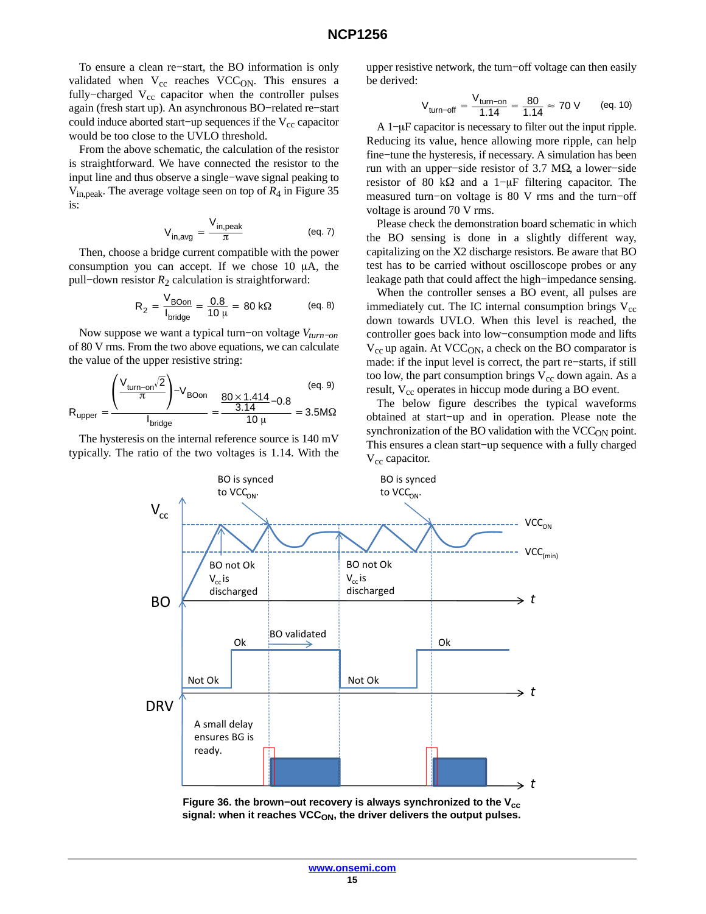To ensure a clean re−start, the BO information is only validated when  $V_{cc}$  reaches VCC<sub>ON</sub>. This ensures a fully–charged  $V_{cc}$  capacitor when the controller pulses again (fresh start up). An asynchronous BO−related re−start could induce aborted start–up sequences if the  $V_{cc}$  capacitor would be too close to the UVLO threshold.

From the above schematic, the calculation of the resistor is straightforward. We have connected the resistor to the input line and thus observe a single−wave signal peaking to Vin,peak. The average voltage seen on top of *R*4 in Figure [35](#page-13-0) is:

$$
V_{in,avg} = \frac{V_{in,peak}}{\pi}
$$
 (eq. 7)

Then, choose a bridge current compatible with the power consumption you can accept. If we chose  $10 \mu A$ , the pull−down resistor *R*2 calculation is straightforward:

$$
R_2 = \frac{V_{\text{BOn}}}{I_{\text{bridge}}} = \frac{0.8}{10 \,\mu} = 80 \,\text{k}\Omega \quad \text{(eq. 8)}
$$

Now suppose we want a typical turn−on voltage *Vturn−on* of 80 V rms. From the two above equations, we can calculate the value of the upper resistive string:

$$
R_{\text{upper}} = \frac{\left(\frac{V_{\text{turn-on}}/2}{\pi}\right) - V_{\text{BOn}}}{I_{\text{bridge}}} = \frac{\frac{80 \times 1.414}{3.14} - 0.8}{10 \,\mu} = 3.5 M\Omega
$$
 (eq. 9)

The hysteresis on the internal reference source is 140 mV typically. The ratio of the two voltages is 1.14. With the upper resistive network, the turn−off voltage can then easily be derived:

$$
V_{\text{turn-off}} = \frac{V_{\text{turn-on}}}{1.14} = \frac{80}{1.14} \approx 70 \text{ V} \qquad \text{(eq. 10)}
$$

A 1–µF capacitor is necessary to filter out the input ripple. Reducing its value, hence allowing more ripple, can help fine−tune the hysteresis, if necessary. A simulation has been run with an upper–side resistor of 3.7 M $\Omega$ , a lower–side resistor of 80 k $\Omega$  and a 1–µF filtering capacitor. The measured turn−on voltage is 80 V rms and the turn−off voltage is around 70 V rms.

Please check the demonstration board schematic in which the BO sensing is done in a slightly different way, capitalizing on the X2 discharge resistors. Be aware that BO test has to be carried without oscilloscope probes or any leakage path that could affect the high−impedance sensing.

When the controller senses a BO event, all pulses are immediately cut. The IC internal consumption brings  $V_{cc}$ down towards UVLO. When this level is reached, the controller goes back into low−consumption mode and lifts  $V_{cc}$  up again. At VCC<sub>ON</sub>, a check on the BO comparator is made: if the input level is correct, the part re−starts, if still too low, the part consumption brings  $V_{cc}$  down again. As a result, V<sub>cc</sub> operates in hiccup mode during a BO event.

The below figure describes the typical waveforms obtained at start−up and in operation. Please note the synchronization of the BO validation with the  $VCC<sub>ON</sub>$  point. This ensures a clean start−up sequence with a fully charged  $V_{cc}$  capacitor.



Figure 36. the brown–out recovery is always synchronized to the V<sub>cc</sub> signal: when it reaches VCC<sub>ON</sub>, the driver delivers the output pulses.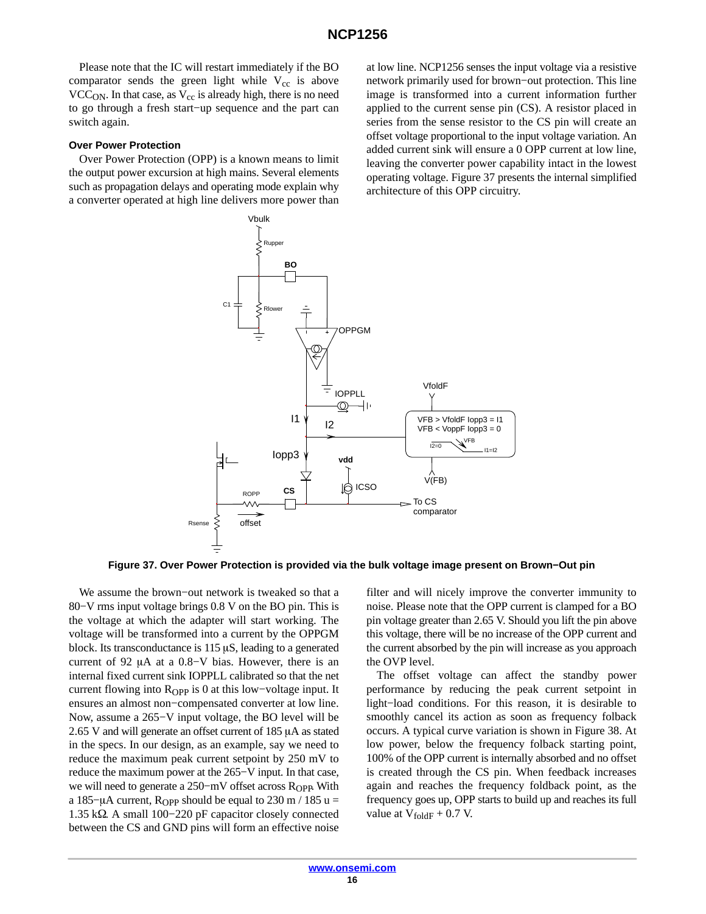Please note that the IC will restart immediately if the BO comparator sends the green light while  $V_{cc}$  is above  $VCC<sub>ON</sub>$ . In that case, as  $V<sub>cc</sub>$  is already high, there is no need to go through a fresh start−up sequence and the part can switch again.

#### **Over Power Protection**

Over Power Protection (OPP) is a known means to limit the output power excursion at high mains. Several elements such as propagation delays and operating mode explain why a converter operated at high line delivers more power than

at low line. NCP1256 senses the input voltage via a resistive network primarily used for brown−out protection. This line image is transformed into a current information further applied to the current sense pin (CS). A resistor placed in series from the sense resistor to the CS pin will create an offset voltage proportional to the input voltage variation. An added current sink will ensure a 0 OPP current at low line, leaving the converter power capability intact in the lowest operating voltage. Figure 37 presents the internal simplified architecture of this OPP circuitry.



**Figure 37. Over Power Protection is provided via the bulk voltage image present on Brown−Out pin**

We assume the brown−out network is tweaked so that a 80−V rms input voltage brings 0.8 V on the BO pin. This is the voltage at which the adapter will start working. The voltage will be transformed into a current by the OPPGM block. Its transconductance is  $115 \mu S$ , leading to a generated current of 92  $\mu$ A at a 0.8–V bias. However, there is an internal fixed current sink IOPPLL calibrated so that the net current flowing into  $R_{OPP}$  is 0 at this low-voltage input. It ensures an almost non−compensated converter at low line. Now, assume a 265−V input voltage, the BO level will be 2.65 V and will generate an offset current of  $185 \mu A$  as stated in the specs. In our design, as an example, say we need to reduce the maximum peak current setpoint by 250 mV to reduce the maximum power at the 265−V input. In that case, we will need to generate a 250-mV offset across R<sub>OPP</sub>. With a 185–µA current, R<sub>OPP</sub> should be equal to 230 m / 185 u = 1.35 kΩ. A small 100–220 pF capacitor closely connected between the CS and GND pins will form an effective noise

filter and will nicely improve the converter immunity to noise. Please note that the OPP current is clamped for a BO pin voltage greater than 2.65 V. Should you lift the pin above this voltage, there will be no increase of the OPP current and the current absorbed by the pin will increase as you approach the OVP level.

The offset voltage can affect the standby power performance by reducing the peak current setpoint in light−load conditions. For this reason, it is desirable to smoothly cancel its action as soon as frequency folback occurs. A typical curve variation is shown in Figure [38](#page-16-0). At low power, below the frequency folback starting point, 100% of the OPP current is internally absorbed and no offset is created through the CS pin. When feedback increases again and reaches the frequency foldback point, as the frequency goes up, OPP starts to build up and reaches its full value at  $V_{\text{foldF}} + 0.7$  V.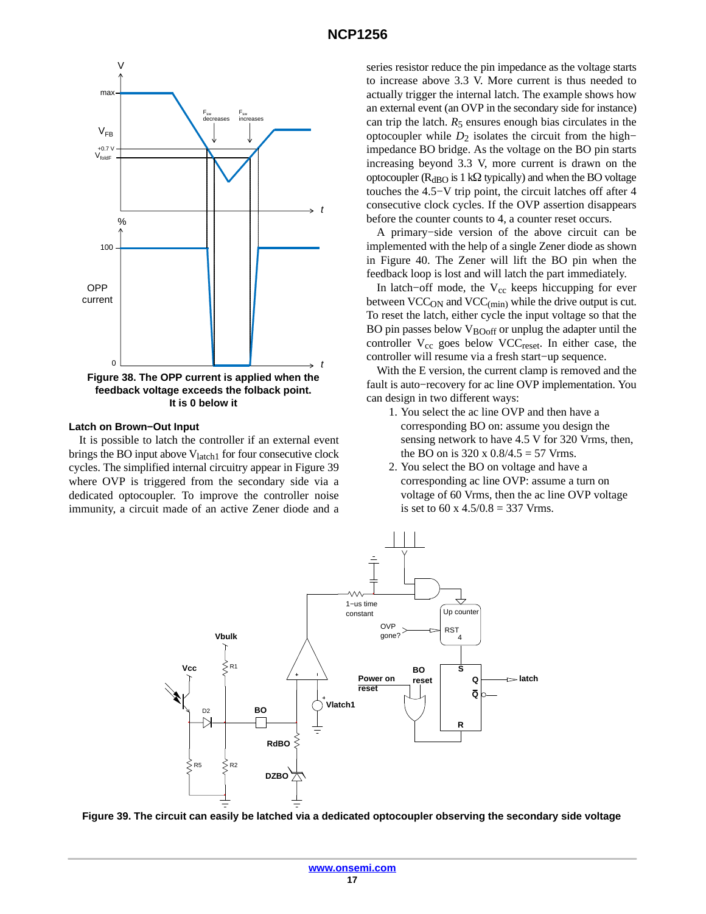<span id="page-16-0"></span>

#### **Latch on Brown−Out Input**

It is possible to latch the controller if an external event brings the BO input above  $V<sub>latch1</sub>$  for four consecutive clock cycles. The simplified internal circuitry appear in Figure 39 where OVP is triggered from the secondary side via a dedicated optocoupler. To improve the controller noise immunity, a circuit made of an active Zener diode and a series resistor reduce the pin impedance as the voltage starts to increase above 3.3 V. More current is thus needed to actually trigger the internal latch. The example shows how an external event (an OVP in the secondary side for instance) can trip the latch.  $R_5$  ensures enough bias circulates in the optocoupler while *D*2 isolates the circuit from the high− impedance BO bridge. As the voltage on the BO pin starts increasing beyond 3.3 V, more current is drawn on the optocoupler ( $R_{dBO}$  is 1 k $\Omega$  typically) and when the BO voltage touches the 4.5−V trip point, the circuit latches off after 4 consecutive clock cycles. If the OVP assertion disappears before the counter counts to 4, a counter reset occurs.

A primary−side version of the above circuit can be implemented with the help of a single Zener diode as shown in Figure [40.](#page-17-0) The Zener will lift the BO pin when the feedback loop is lost and will latch the part immediately.

In latch–off mode, the  $V_{cc}$  keeps hiccupping for ever between  $\text{VCC}_{\text{ON}}$  and  $\text{VCC}_{\text{(min)}}$  while the drive output is cut. To reset the latch, either cycle the input voltage so that the BO pin passes below  $V_{\text{BOoff}}$  or unplug the adapter until the controller  $V_{cc}$  goes below VCC<sub>reset</sub>. In either case, the controller will resume via a fresh start−up sequence.

With the E version, the current clamp is removed and the fault is auto−recovery for ac line OVP implementation. You can design in two different ways:

- 1. You select the ac line OVP and then have a corresponding BO on: assume you design the sensing network to have 4.5 V for 320 Vrms, then, the BO on is 320 x  $0.8/4.5 = 57$  Vrms.
- 2. You select the BO on voltage and have a corresponding ac line OVP: assume a turn on voltage of 60 Vrms, then the ac line OVP voltage is set to 60 x  $4.5/0.8 = 337$  Vrms.



**Figure 39. The circuit can easily be latched via a dedicated optocoupler observing the secondary side voltage**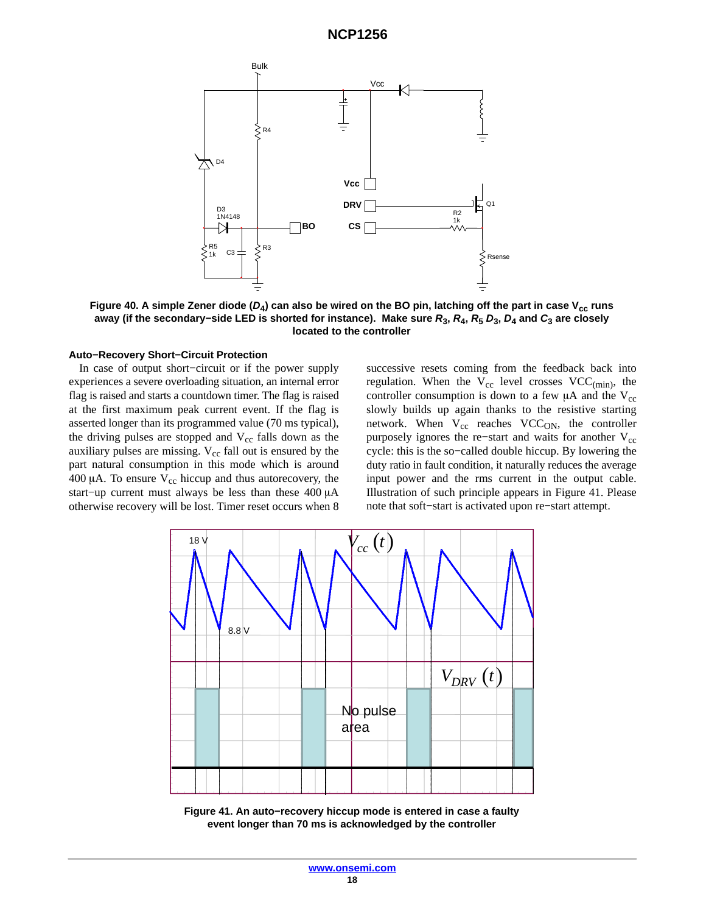<span id="page-17-0"></span>

Figure 40. A simple Zener diode  $(D_4)$  can also be wired on the BO pin, latching off the part in case V<sub>cc</sub> runs **away (if the secondary−side LED is shorted for instance). Make sure** *R***3,** *R***4,** *R***<sup>5</sup>** *D***3,** *D***4 and** *C***3 are closely located to the controller**

#### **Auto−Recovery Short−Circuit Protection**

In case of output short−circuit or if the power supply experiences a severe overloading situation, an internal error flag is raised and starts a countdown timer. The flag is raised at the first maximum peak current event. If the flag is asserted longer than its programmed value (70 ms typical), the driving pulses are stopped and  $V_{cc}$  falls down as the auxiliary pulses are missing.  $V_{cc}$  fall out is ensured by the part natural consumption in this mode which is around 400  $\mu$ A. To ensure V<sub>cc</sub> hiccup and thus autorecovery, the start–up current must always be less than these 400 μA otherwise recovery will be lost. Timer reset occurs when 8 successive resets coming from the feedback back into regulation. When the  $V_{cc}$  level crosses  $VCC_{(min)}$ , the controller consumption is down to a few  $\mu$ A and the V<sub>cc</sub> slowly builds up again thanks to the resistive starting network. When  $V_{cc}$  reaches VCC<sub>ON</sub>, the controller purposely ignores the re−start and waits for another  $V_{cc}$ cycle: this is the so−called double hiccup. By lowering the duty ratio in fault condition, it naturally reduces the average input power and the rms current in the output cable. Illustration of such principle appears in Figure 41. Please note that soft−start is activated upon re−start attempt.



**Figure 41. An auto−recovery hiccup mode is entered in case a faulty event longer than 70 ms is acknowledged by the controller**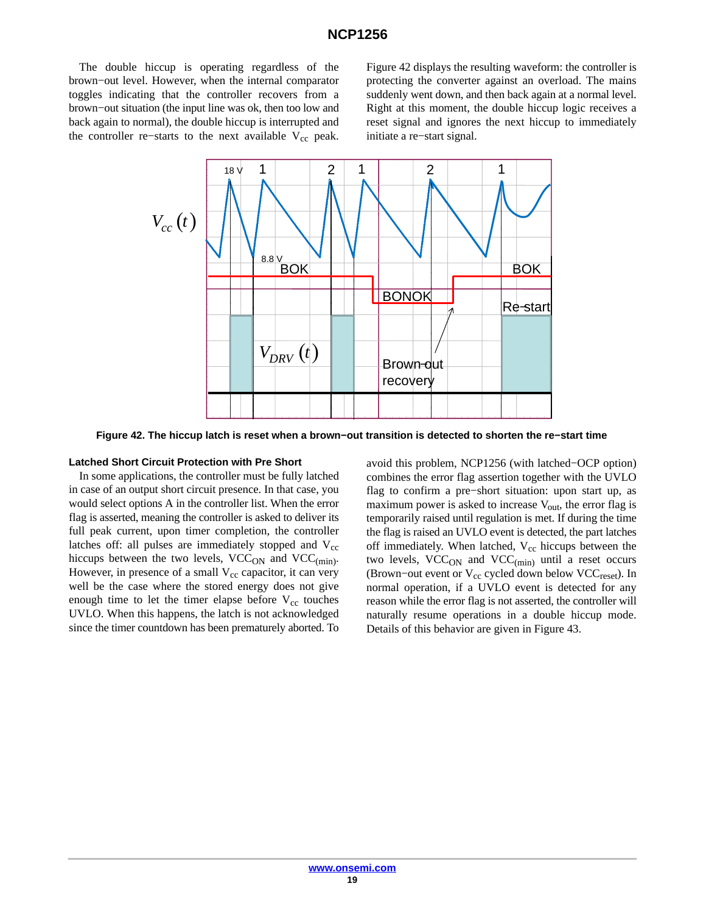The double hiccup is operating regardless of the brown−out level. However, when the internal comparator toggles indicating that the controller recovers from a brown−out situation (the input line was ok, then too low and back again to normal), the double hiccup is interrupted and the controller re–starts to the next available  $V_{cc}$  peak. Figure 42 displays the resulting waveform: the controller is protecting the converter against an overload. The mains suddenly went down, and then back again at a normal level. Right at this moment, the double hiccup logic receives a reset signal and ignores the next hiccup to immediately initiate a re−start signal.



**Figure 42. The hiccup latch is reset when a brown−out transition is detected to shorten the re−start time**

#### **Latched Short Circuit Protection with Pre Short**

In some applications, the controller must be fully latched in case of an output short circuit presence. In that case, you would select options A in the controller list. When the error flag is asserted, meaning the controller is asked to deliver its full peak current, upon timer completion, the controller latches off: all pulses are immediately stopped and  $V_{cc}$ hiccups between the two levels,  $VCC<sub>ON</sub>$  and  $VCC<sub>(min)</sub>$ . However, in presence of a small  $V_{cc}$  capacitor, it can very well be the case where the stored energy does not give enough time to let the timer elapse before  $V_{cc}$  touches UVLO. When this happens, the latch is not acknowledged since the timer countdown has been prematurely aborted. To

avoid this problem, NCP1256 (with latched−OCP option) combines the error flag assertion together with the UVLO flag to confirm a pre−short situation: upon start up, as maximum power is asked to increase  $V_{\text{out}}$ , the error flag is temporarily raised until regulation is met. If during the time the flag is raised an UVLO event is detected, the part latches off immediately. When latched,  $V_{cc}$  hiccups between the two levels, VCC<sub>ON</sub> and VCC<sub>(min)</sub> until a reset occurs (Brown–out event or V<sub>cc</sub> cycled down below VCC<sub>reset</sub>). In normal operation, if a UVLO event is detected for any reason while the error flag is not asserted, the controller will naturally resume operations in a double hiccup mode. Details of this behavior are given in Figure [43.](#page-19-0)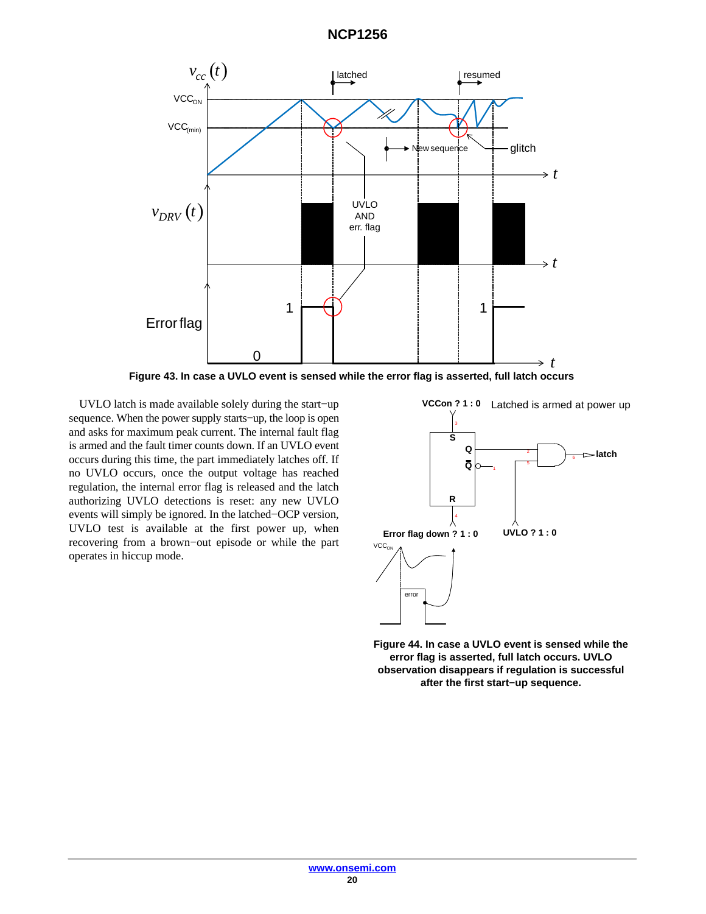<span id="page-19-0"></span>

**Figure 43. In case a UVLO event is sensed while the error flag is asserted, full latch occurs**

UVLO latch is made available solely during the start−up sequence. When the power supply starts−up, the loop is open and asks for maximum peak current. The internal fault flag is armed and the fault timer counts down. If an UVLO event occurs during this time, the part immediately latches off. If no UVLO occurs, once the output voltage has reached regulation, the internal error flag is released and the latch authorizing UVLO detections is reset: any new UVLO events will simply be ignored. In the latched−OCP version, UVLO test is available at the first power up, when recovering from a brown−out episode or while the part operates in hiccup mode.



**Figure 44. In case a UVLO event is sensed while the error flag is asserted, full latch occurs. UVLO observation disappears if regulation is successful after the first start−up sequence.**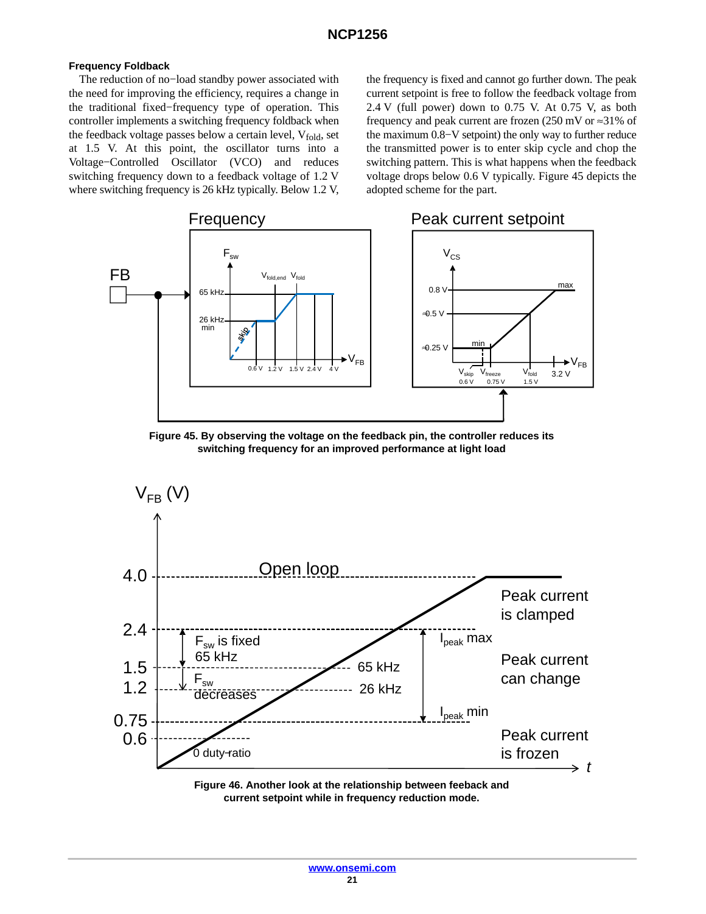### **Frequency Foldback**

The reduction of no−load standby power associated with the need for improving the efficiency, requires a change in the traditional fixed−frequency type of operation. This controller implements a switching frequency foldback when the feedback voltage passes below a certain level,  $V_{fold}$ , set at 1.5 V. At this point, the oscillator turns into a Voltage−Controlled Oscillator (VCO) and reduces switching frequency down to a feedback voltage of 1.2 V where switching frequency is 26 kHz typically. Below 1.2 V, the frequency is fixed and cannot go further down. The peak current setpoint is free to follow the feedback voltage from 2.4 V (full power) down to 0.75 V. At 0.75 V, as both frequency and peak current are frozen (250 mV or ≈31% of the maximum 0.8−V setpoint) the only way to further reduce the transmitted power is to enter skip cycle and chop the switching pattern. This is what happens when the feedback voltage drops below 0.6 V typically. Figure 45 depicts the adopted scheme for the part.







**Figure 46. Another look at the relationship between feeback and current setpoint while in frequency reduction mode.**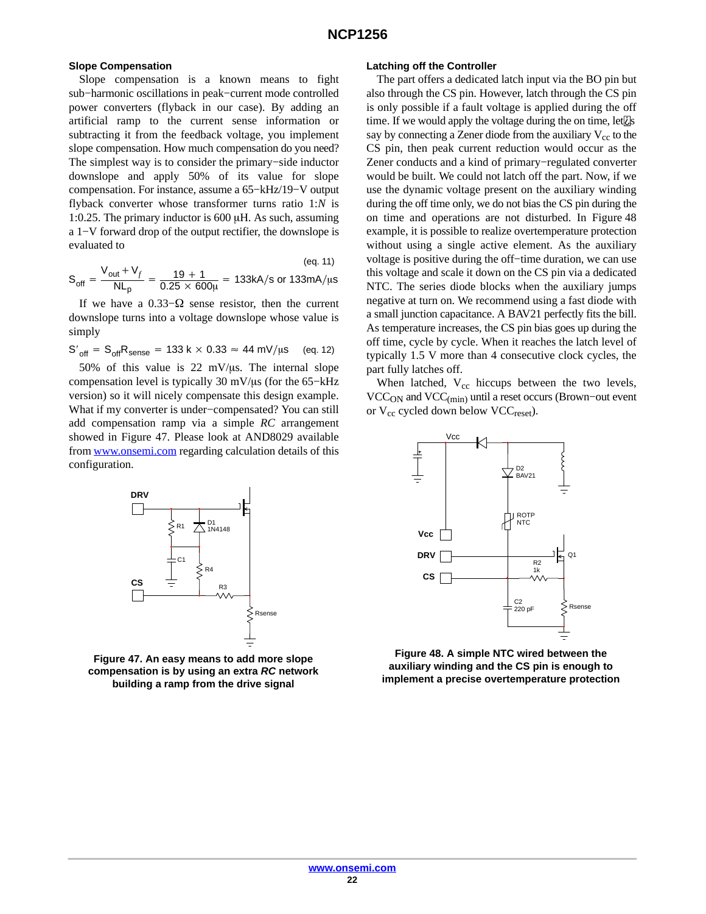#### **Slope Compensation**

Slope compensation is a known means to fight sub−harmonic oscillations in peak−current mode controlled power converters (flyback in our case). By adding an artificial ramp to the current sense information or subtracting it from the feedback voltage, you implement slope compensation. How much compensation do you need? The simplest way is to consider the primary−side inductor downslope and apply 50% of its value for slope compensation. For instance, assume a 65−kHz/19−V output flyback converter whose transformer turns ratio 1:*N* is 1:0.25. The primary inductor is  $600 \mu$ H. As such, assuming a 1−V forward drop of the output rectifier, the downslope is evaluated to

$$
S_{\text{off}} = \frac{V_{\text{out}} + V_f}{NL_p} = \frac{19 + 1}{0.25 \times 600\mu} = 133 \text{kA/s or } 133 \text{mA/}\mu\text{s}
$$

If we have a 0.33– $\Omega$  sense resistor, then the current downslope turns into a voltage downslope whose value is simply

$$
S'_{off} = S_{off}R_{sense} = 133 \text{ k} \times 0.33 \approx 44 \text{ mV/}\mu\text{s} \quad \text{(eq. 12)}
$$

50% of this value is 22 mV/ $\mu$ s. The internal slope compensation level is typically 30 mV/µs (for the 65-kHz version) so it will nicely compensate this design example. What if my converter is under−compensated? You can still add compensation ramp via a simple *RC* arrangement showed in Figure 47. Please look at AND8029 available from [www.onsemi.com](http://www.onsemi.com) regarding calculation details of this configuration.



**Figure 47. An easy means to add more slope compensation is by using an extra** *RC* **network building a ramp from the drive signal**

#### **Latching off the Controller**

The part offers a dedicated latch input via the BO pin but also through the CS pin. However, latch through the CS pin is only possible if a fault voltage is applied during the off time. If we would apply the voltage during the on time, let  $\Box$ s say by connecting a Zener diode from the auxiliary  $V_{cc}$  to the CS pin, then peak current reduction would occur as the Zener conducts and a kind of primary−regulated converter would be built. We could not latch off the part. Now, if we use the dynamic voltage present on the auxiliary winding during the off time only, we do not bias the CS pin during the on time and operations are not disturbed. In Figure 48 example, it is possible to realize overtemperature protection without using a single active element. As the auxiliary voltage is positive during the off−time duration, we can use this voltage and scale it down on the CS pin via a dedicated NTC. The series diode blocks when the auxiliary jumps negative at turn on. We recommend using a fast diode with a small junction capacitance. A BAV21 perfectly fits the bill. As temperature increases, the CS pin bias goes up during the off time, cycle by cycle. When it reaches the latch level of typically 1.5 V more than 4 consecutive clock cycles, the part fully latches off.

When latched,  $V_{cc}$  hiccups between the two levels, VCCON and VCC(min) until a reset occurs (Brown−out event or V<sub>cc</sub> cycled down below VCC<sub>reset</sub>).



**Figure 48. A simple NTC wired between the auxiliary winding and the CS pin is enough to implement a precise overtemperature protection**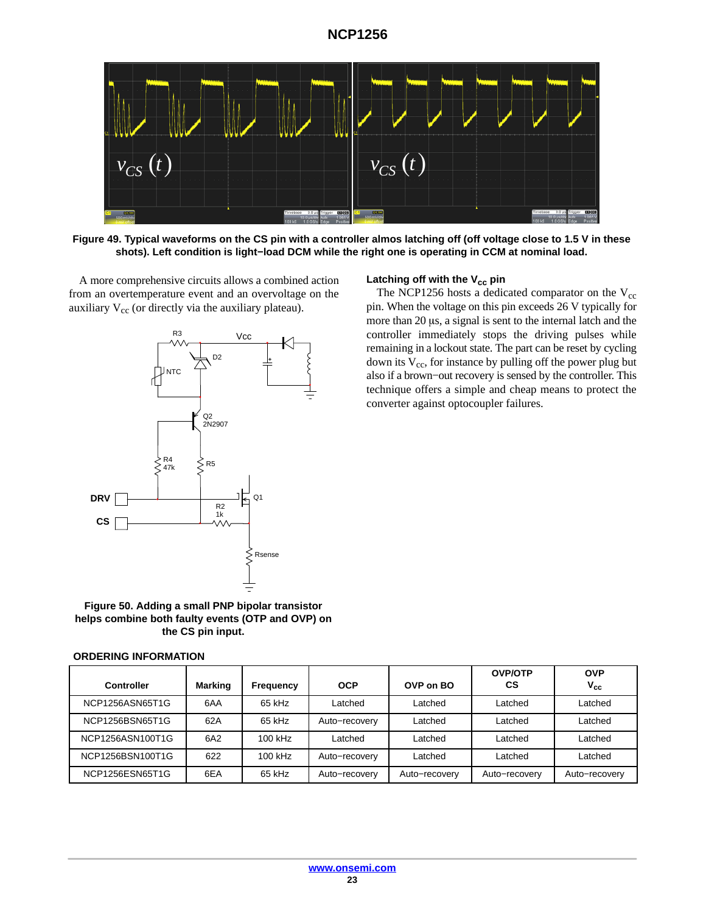<span id="page-22-0"></span>

**Figure 49. Typical waveforms on the CS pin with a controller almos latching off (off voltage close to 1.5 V in these shots). Left condition is light−load DCM while the right one is operating in CCM at nominal load.**

A more comprehensive circuits allows a combined action from an overtemperature event and an overvoltage on the auxiliary  $V_{cc}$  (or directly via the auxiliary plateau).



### Latching off with the V<sub>cc</sub> pin

The NCP1256 hosts a dedicated comparator on the  $V_{cc}$ pin. When the voltage on this pin exceeds 26 V typically for more than  $20 \mu s$ , a signal is sent to the internal latch and the controller immediately stops the driving pulses while remaining in a lockout state. The part can be reset by cycling down its  $V_{cc}$ , for instance by pulling off the power plug but also if a brown−out recovery is sensed by the controller. This technique offers a simple and cheap means to protect the converter against optocoupler failures.

**Figure 50. Adding a small PNP bipolar transistor helps combine both faulty events (OTP and OVP) on the CS pin input.**

#### **ORDERING INFORMATION**

| <b>Controller</b> | Marking | Frequency | <b>OCP</b>    | OVP on BO     | <b>OVP/OTP</b><br>CS | <b>OVP</b><br>$V_{cc}$ |
|-------------------|---------|-----------|---------------|---------------|----------------------|------------------------|
| NCP1256ASN65T1G   | 6AA     | 65 kHz    | Latched       | Latched       | Latched              | Latched                |
| NCP1256BSN65T1G   | 62A     | 65 kHz    | Auto-recovery | Latched       | Latched              | Latched                |
| NCP1256ASN100T1G  | 6A2     | $100$ kHz | Latched       | Latched       | Latched              | Latched                |
| NCP1256BSN100T1G  | 622     | $100$ kHz | Auto-recovery | Latched       | Latched              | Latched                |
| NCP1256ESN65T1G   | 6EA     | 65 kHz    | Auto-recovery | Auto-recovery | Auto-recovery        | Auto-recovery          |